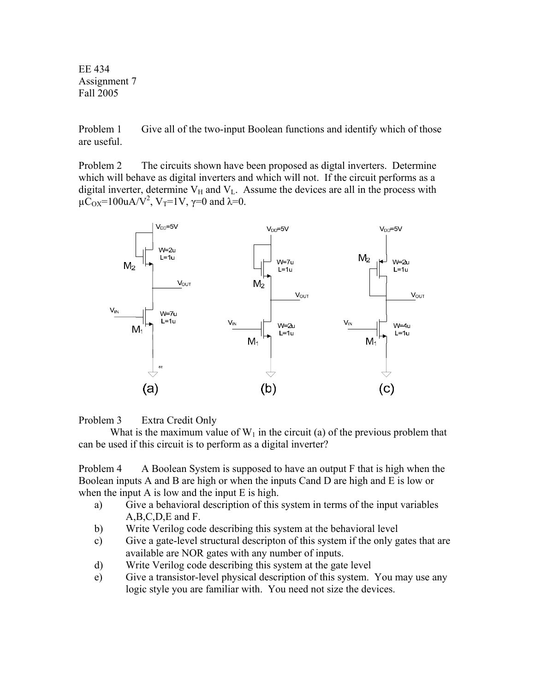EE 434 Assignment 7 Fall 2005

Problem 1 Give all of the two-input Boolean functions and identify which of those are useful.

Problem 2 The circuits shown have been proposed as digtal inverters. Determine which will behave as digital inverters and which will not. If the circuit performs as a digital inverter, determine  $V_H$  and  $V_L$ . Assume the devices are all in the process with  $\mu \overline{C}_{OX}$ =100uA/V<sup>2</sup>, V<sub>T</sub>=1V,  $\gamma$ =0 and  $\lambda$ =0.



Problem 3 Extra Credit Only

What is the maximum value of  $W_1$  in the circuit (a) of the previous problem that can be used if this circuit is to perform as a digital inverter?

Problem 4 A Boolean System is supposed to have an output F that is high when the Boolean inputs A and B are high or when the inputs Cand D are high and E is low or when the input A is low and the input E is high.

- a) Give a behavioral description of this system in terms of the input variables A,B,C,D,E and F.
- b) Write Verilog code describing this system at the behavioral level
- c) Give a gate-level structural descripton of this system if the only gates that are available are NOR gates with any number of inputs.
- d) Write Verilog code describing this system at the gate level
- e) Give a transistor-level physical description of this system. You may use any logic style you are familiar with. You need not size the devices.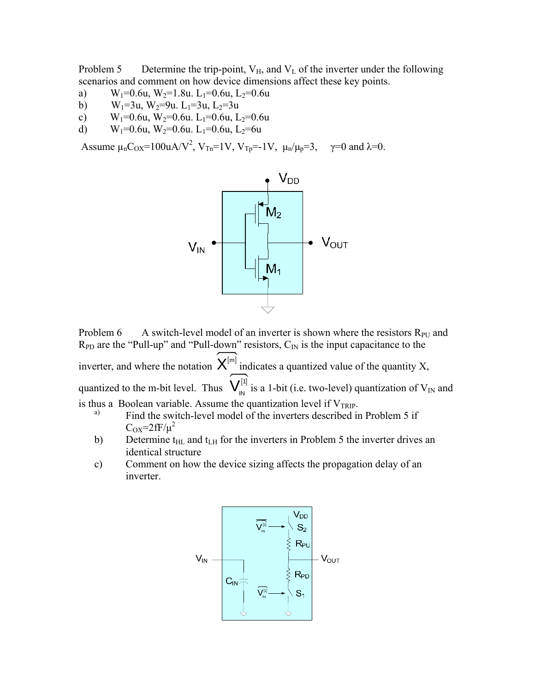Problem 5 Determine the trip-point,  $V_H$ , and  $V_L$  of the inverter under the following scenarios and comment on how device dimensions affect these key points.

- a)  $W_1=0.6u$ ,  $W_2=1.8u$ .  $L_1=0.6u$ ,  $L_2=0.6u$
- b)  $W_1=3u$ ,  $W_2=9u$ .  $L_1=3u$ ,  $L_2=3u$
- c)  $W_1=0.6u$ ,  $W_2=0.6u$ .  $L_1=0.6u$ ,  $L_2=0.6u$
- d) W<sub>1</sub>=0.6u, W<sub>2</sub>=0.6u. L<sub>1</sub>=0.6u, L<sub>2</sub>=6u

Assume  $\mu_n C_{OX} = 100uA/V^2$ ,  $V_{Tn} = 1V$ ,  $V_{Tp} = -1V$ ,  $\mu_n/\mu_p = 3$ ,  $\gamma = 0$  and  $\lambda = 0$ .



Problem 6 A switch-level model of an inverter is shown where the resistors  $R_{PU}$  and  $R_{PD}$  are the "Pull-up" and "Pull-down" resistors,  $C_{IN}$  is the input capacitance to the inverter, and where the notation  $\widehat{\mathsf{X}}^{[m]}$  indicates a quantized value of the quantity X, quantized to the m-bit level. Thus  $\widehat{V}_{\text{IN}}^{[1]}$  is a 1-bit (i.e. two-level) quantization of  $V_{\text{IN}}$  and is thus a Boolean variable. Assume the quantization level if  $V_{TRIP}$ .<br>Find the switch-level model of the inverters described in Problem 5 if

- $C_{OX} = 2fF/\mu^2$
- b) Determine  $t_{\text{HL}}$  and  $t_{\text{LH}}$  for the inverters in Problem 5 the inverter drives an identical structure
- c) Comment on how the device sizing affects the propagation delay of an inverter.

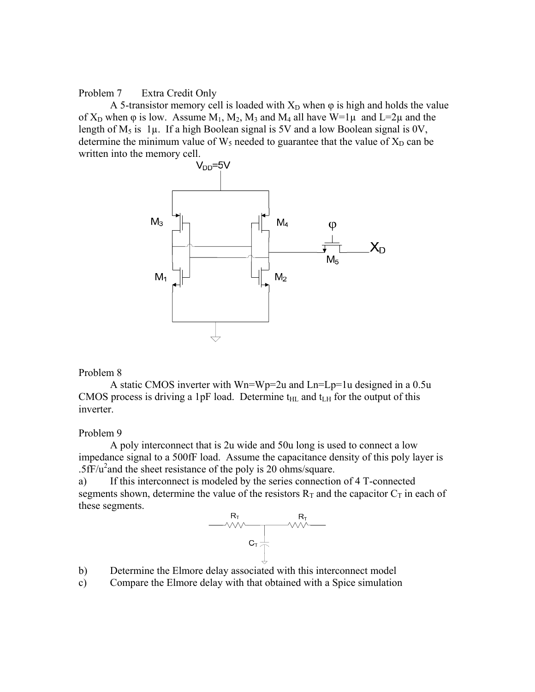## Problem 7 Extra Credit Only

A 5-transistor memory cell is loaded with  $X_D$  when  $\varphi$  is high and holds the value of  $X_D$  when  $\varphi$  is low. Assume  $M_1$ ,  $M_2$ ,  $M_3$  and  $M_4$  all have  $W=1\mu$  and  $L=2\mu$  and the length of  $M_5$  is  $1\mu$ . If a high Boolean signal is 5V and a low Boolean signal is 0V, determine the minimum value of  $W_5$  needed to guarantee that the value of  $X_D$  can be written into the memory cell.<br> $V_{DD} = 5V$ 



## Problem 8

 A static CMOS inverter with Wn=Wp=2u and Ln=Lp=1u designed in a 0.5u CMOS process is driving a 1pF load. Determine  $t_{HL}$  and  $t_{LH}$  for the output of this inverter.

## Problem 9

 A poly interconnect that is 2u wide and 50u long is used to connect a low impedance signal to a 500fF load. Assume the capacitance density of this poly layer is  $.5\text{fF/u}^2$  and the sheet resistance of the poly is 20 ohms/square.

a) If this interconnect is modeled by the series connection of 4 T-connected segments shown, determine the value of the resistors  $R_T$  and the capacitor  $C_T$  in each of these segments.



- b) Determine the Elmore delay associated with this interconnect model
- c) Compare the Elmore delay with that obtained with a Spice simulation